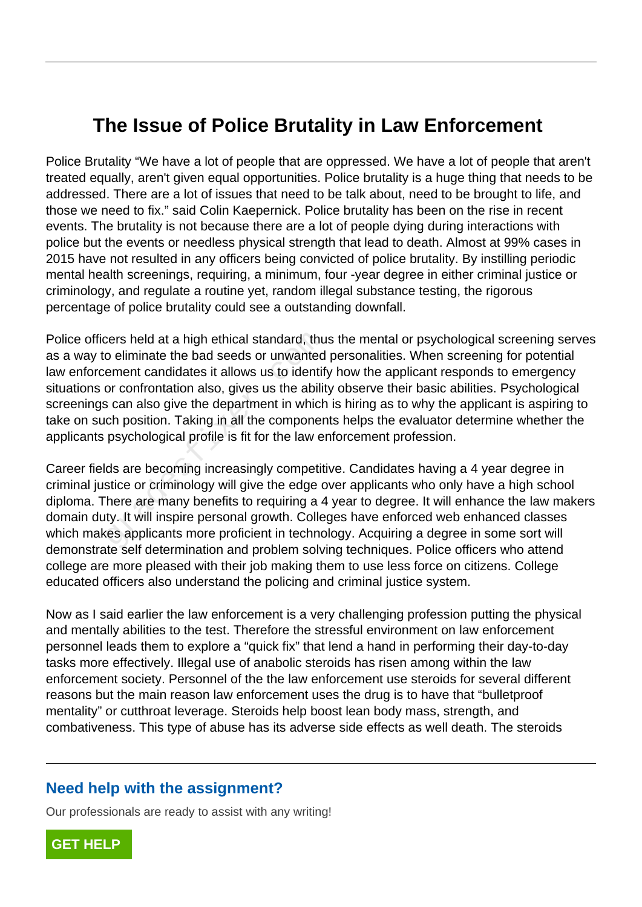## **The Issue of Police Brutality in Law Enforcement**

Police Brutality "We have a lot of people that are oppressed. We have a lot of people that aren't treated equally, aren't given equal opportunities. Police brutality is a huge thing that needs to be addressed. There are a lot of issues that need to be talk about, need to be brought to life, and those we need to fix." said Colin Kaepernick. Police brutality has been on the rise in recent events. The brutality is not because there are a lot of people dying during interactions with police but the events or needless physical strength that lead to death. Almost at 99% cases in 2015 have not resulted in any officers being convicted of police brutality. By instilling periodic mental health screenings, requiring, a minimum, four -year degree in either criminal justice or criminology, and regulate a routine yet, random illegal substance testing, the rigorous percentage of police brutality could see a outstanding downfall.

Police officers held at a high ethical standard, thus the mental or psychological screening serves as a way to eliminate the bad seeds or unwanted personalities. When screening for potential law enforcement candidates it allows us to identify how the applicant responds to emergency situations or confrontation also, gives us the ability observe their basic abilities. Psychological screenings can also give the department in which is hiring as to why the applicant is aspiring to take on such position. Taking in all the components helps the evaluator determine whether the applicants psychological profile is fit for the law enforcement profession. cers held at a high ethical standard, thut<br>o eliminate the bad seeds or unwanted<br>ement candidates it allows us to identif<br>or confrontation also, gives us the abilit<br>is can also give the department in which<br>ch position. Ta

Career fields are becoming increasingly competitive. Candidates having a 4 year degree in criminal justice or criminology will give the edge over applicants who only have a high school diploma. There are many benefits to requiring a 4 year to degree. It will enhance the law makers domain duty. It will inspire personal growth. Colleges have enforced web enhanced classes which makes applicants more proficient in technology. Acquiring a degree in some sort will demonstrate self determination and problem solving techniques. Police officers who attend college are more pleased with their job making them to use less force on citizens. College educated officers also understand the policing and criminal justice system.

Now as I said earlier the law enforcement is a very challenging profession putting the physical and mentally abilities to the test. Therefore the stressful environment on law enforcement personnel leads them to explore a "quick fix" that lend a hand in performing their day-to-day tasks more effectively. Illegal use of anabolic steroids has risen among within the law enforcement society. Personnel of the the law enforcement use steroids for several different reasons but the main reason law enforcement uses the drug is to have that "bulletproof mentality" or cutthroat leverage. Steroids help boost lean body mass, strength, and combativeness. This type of abuse has its adverse side effects as well death. The steroids

## **Need help with the assignment?**

Our professionals are ready to assist with any writing!